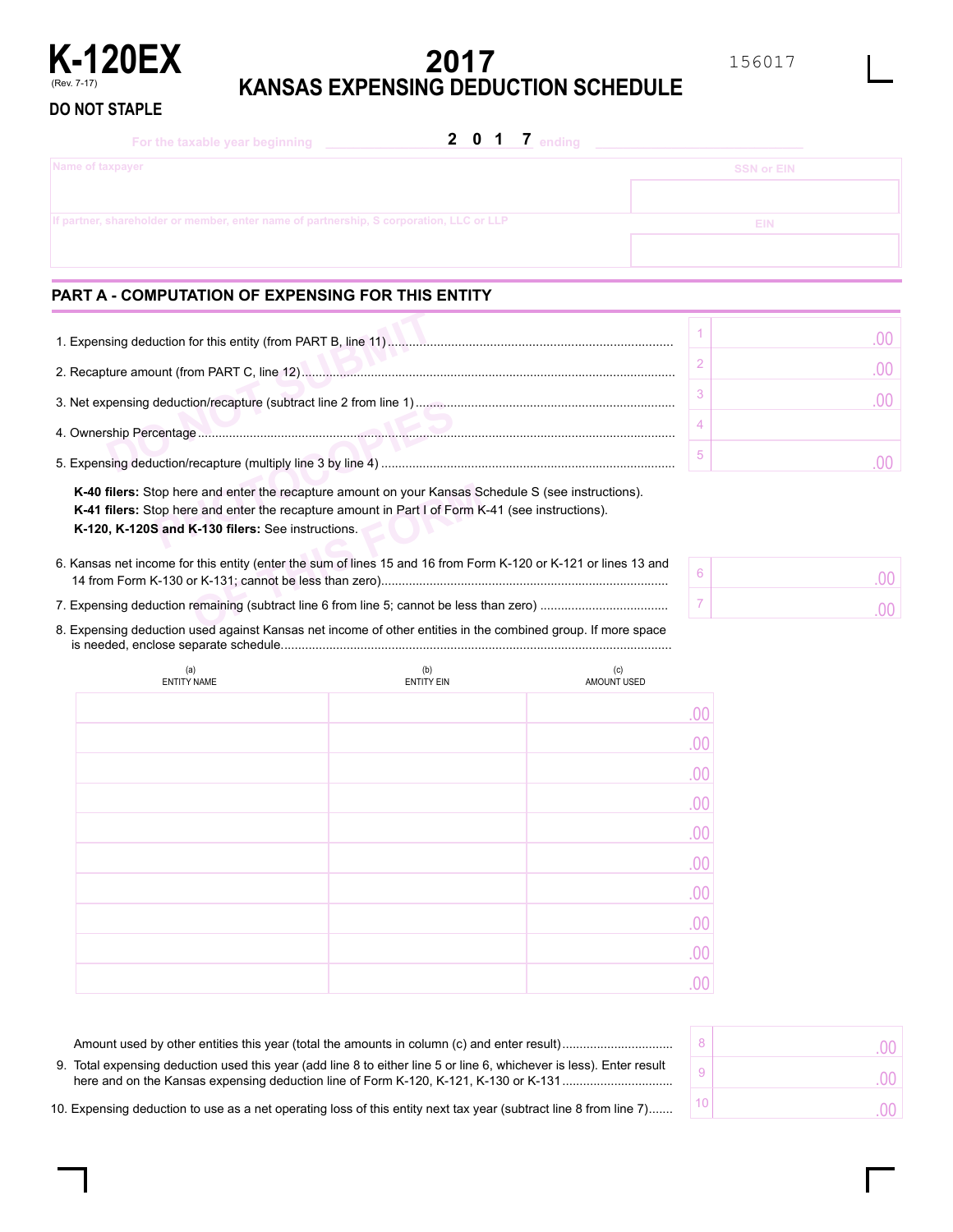

**DO NOT STAPLE**

# **2017 KANSAS EXPENSING DEDUCTION SCHEDULE**

| 2 0 1 7 ending<br>For the taxable year beginning                                        |                   |
|-----------------------------------------------------------------------------------------|-------------------|
| Name of taxpayer                                                                        | <b>SSN or EIN</b> |
|                                                                                         |                   |
| If partner, shareholder or member, enter name of partnership, S corporation, LLC or LLP | <b>EIN</b>        |
|                                                                                         |                   |

## **PART A - COMPUTATION OF EXPENSING FOR THIS ENTITY**

| K-40 filers: Stop here and enter the recapture amount on your Kansas Schedule S (see instructions).<br><b>K-41 filers:</b> Stop here and enter the recapture amount in Part I of Form K-41 (see instructions).<br>K-120, K-120S and K-130 filers: See instructions. |  |
|---------------------------------------------------------------------------------------------------------------------------------------------------------------------------------------------------------------------------------------------------------------------|--|

For and enter the recapture amount on your Kansas Section and enter the recapture amount in Part I of Form K<br>**K-130 filers:** See instructions.<br>This entity (enter the sum of lines 15 and 16 from Form K-131; cannot be less t **K-40 filers:** Stop here and enter the recapture amount on your Kansas Schedule S (see instructions). **K-41 filers:** Stop here and enter the recapture amount in Part I of Form K-41 (see instructions). **K-120, K-120S and K-130 filers:** See instructions.

................................................................................... 14 from Form K-130 or K-131; cannot be less than zero) 6. Kansas net income for this entity (enter the sum of lines 15 and 16 from Form K-120 or K-121 or lines 13 and

7. Expensing deduction remaining (subtract line 6 from line 5; cannot be less than zero) ...................................

................................................................................................................ is needed, enclose separate schedule. 8. Expensing deduction used against Kansas net income of other entities in the combined group. If more space

| (a)<br><b>ENTITY NAME</b> | (b)<br><b>ENTITY EIN</b> | (c)<br>AMOUNT USED |
|---------------------------|--------------------------|--------------------|
|                           |                          | .00                |
|                           |                          | .00                |
|                           |                          | .00                |
|                           |                          | .00                |
|                           |                          | .00                |
|                           |                          | .00                |
|                           |                          | .00                |
|                           |                          | .00                |
|                           |                          | .00                |
|                           |                          | 00                 |

| 9. Total expensing deduction used this year (add line 8 to either line 5 or line 6, whichever is less). Enter result |  |
|----------------------------------------------------------------------------------------------------------------------|--|
| 10. Expensing deduction to use as a net operating loss of this entity next tax year (subtract line 8 from line 7)    |  |

| 10. Expensing deduction to use as a net operating loss of this entity next tax year (subtract line 8 from line 7) |  |  |  |  |
|-------------------------------------------------------------------------------------------------------------------|--|--|--|--|

| 6 | .00            |
|---|----------------|
|   | 0 <sup>0</sup> |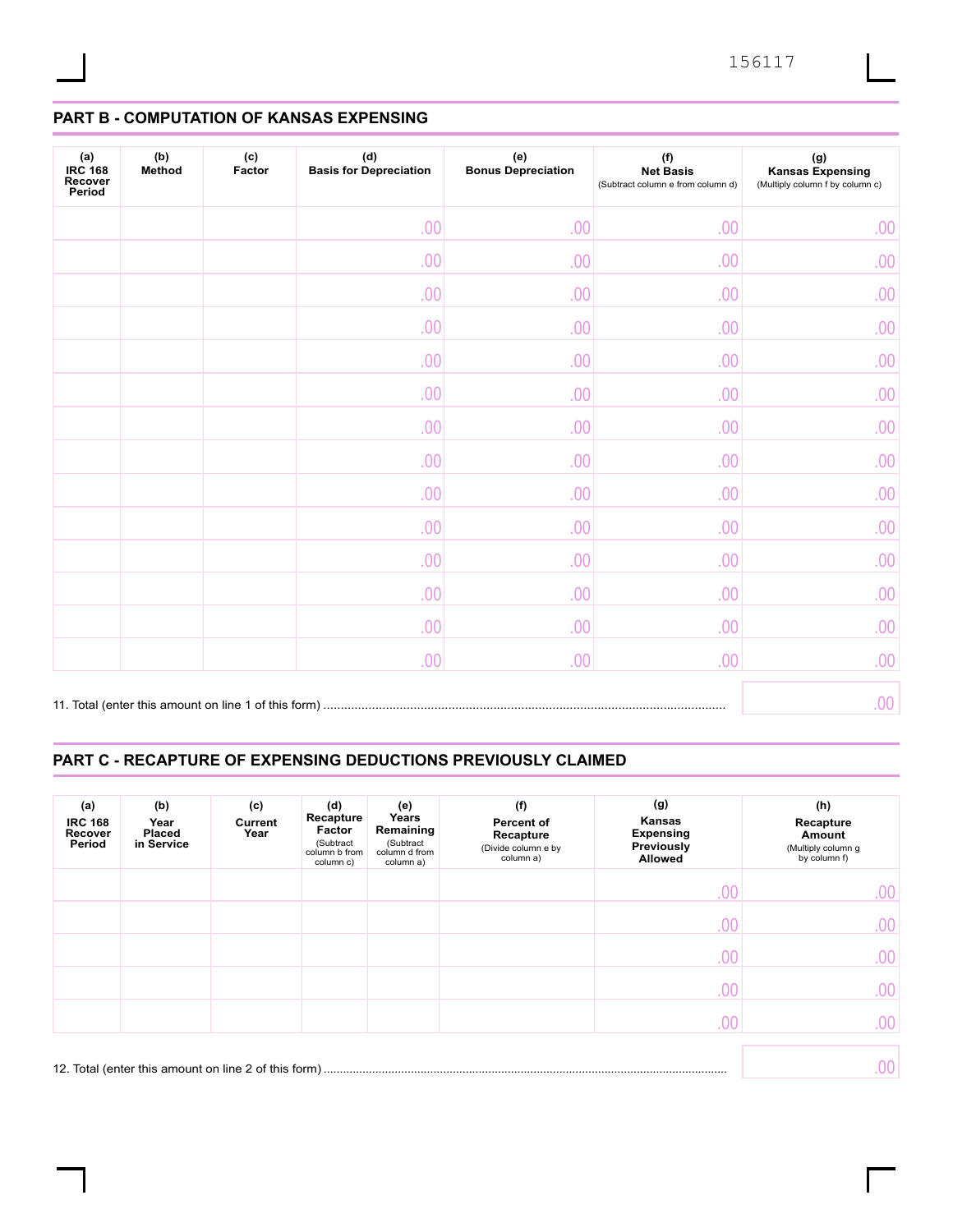# **PART B - COMPUTATION OF KANSAS EXPENSING**

| (a)<br><b>IRC 168</b><br>Recover<br>Period | (b)<br>Method | (c)<br>Factor | (d)<br><b>Basis for Depreciation</b> | (e)<br><b>Bonus Depreciation</b> | (f)<br><b>Net Basis</b><br>(Subtract column e from column d) | $(\mathsf{g})$<br><b>Kansas Expensing</b><br>(Multiply column f by column c) |
|--------------------------------------------|---------------|---------------|--------------------------------------|----------------------------------|--------------------------------------------------------------|------------------------------------------------------------------------------|
|                                            |               |               | .00                                  | .00                              | .00                                                          | .00                                                                          |
|                                            |               |               | .00                                  | .00                              | .00                                                          | .00                                                                          |
|                                            |               |               | .00                                  | .00                              | .00                                                          | .00                                                                          |
|                                            |               |               | .00                                  | .00                              | .00                                                          | .00                                                                          |
|                                            |               |               | .00                                  | .00                              | .00                                                          | .00                                                                          |
|                                            |               |               | .00                                  | .00                              | .00                                                          | .00                                                                          |
|                                            |               |               | .00                                  | .00                              | .00                                                          | .00                                                                          |
|                                            |               |               | .00                                  | .00                              | .00                                                          | .00.                                                                         |
|                                            |               |               | .00                                  | .00                              | .00                                                          | .00                                                                          |
|                                            |               |               | .00                                  | .00                              | .00                                                          | .00                                                                          |
|                                            |               |               | .00                                  | .00                              | .00                                                          | .00                                                                          |
|                                            |               |               | .00                                  | .00                              | .00                                                          | .00                                                                          |
|                                            |               |               | .00                                  | .00                              | .00                                                          | .00                                                                          |
|                                            |               |               | .00.                                 | .00                              | .00                                                          | .00                                                                          |
|                                            |               |               |                                      |                                  |                                                              | .00.                                                                         |

## **PART C - RECAPTURE OF EXPENSING DEDUCTIONS PREVIOUSLY CLAIMED**

| (a)<br><b>IRC 168</b><br>Recover<br>Period | (b)<br>Year<br><b>Placed</b><br>in Service | (c)<br>Current<br>Year | (d)<br>Recapture<br>Factor<br>(Subtract<br>column b from<br>column c) | (e)<br>Years<br>Remaining<br>(Subtract<br>column d from<br>column a) | (f)<br>Percent of<br>Recapture<br>(Divide column e by<br>column a) | (g)<br>Kansas<br><b>Expensing</b><br>Previously<br>Allowed | (h)<br>Recapture<br>Amount<br>(Multiply column g<br>by column f) |
|--------------------------------------------|--------------------------------------------|------------------------|-----------------------------------------------------------------------|----------------------------------------------------------------------|--------------------------------------------------------------------|------------------------------------------------------------|------------------------------------------------------------------|
|                                            |                                            |                        |                                                                       |                                                                      |                                                                    | .00                                                        | .00.                                                             |
|                                            |                                            |                        |                                                                       |                                                                      |                                                                    | .00                                                        | .00.                                                             |
|                                            |                                            |                        |                                                                       |                                                                      |                                                                    | .00                                                        | .00.                                                             |
|                                            |                                            |                        |                                                                       |                                                                      |                                                                    | .00                                                        | .00                                                              |
|                                            |                                            |                        |                                                                       |                                                                      |                                                                    | .00                                                        | .00                                                              |
|                                            |                                            |                        |                                                                       |                                                                      |                                                                    |                                                            | 00                                                               |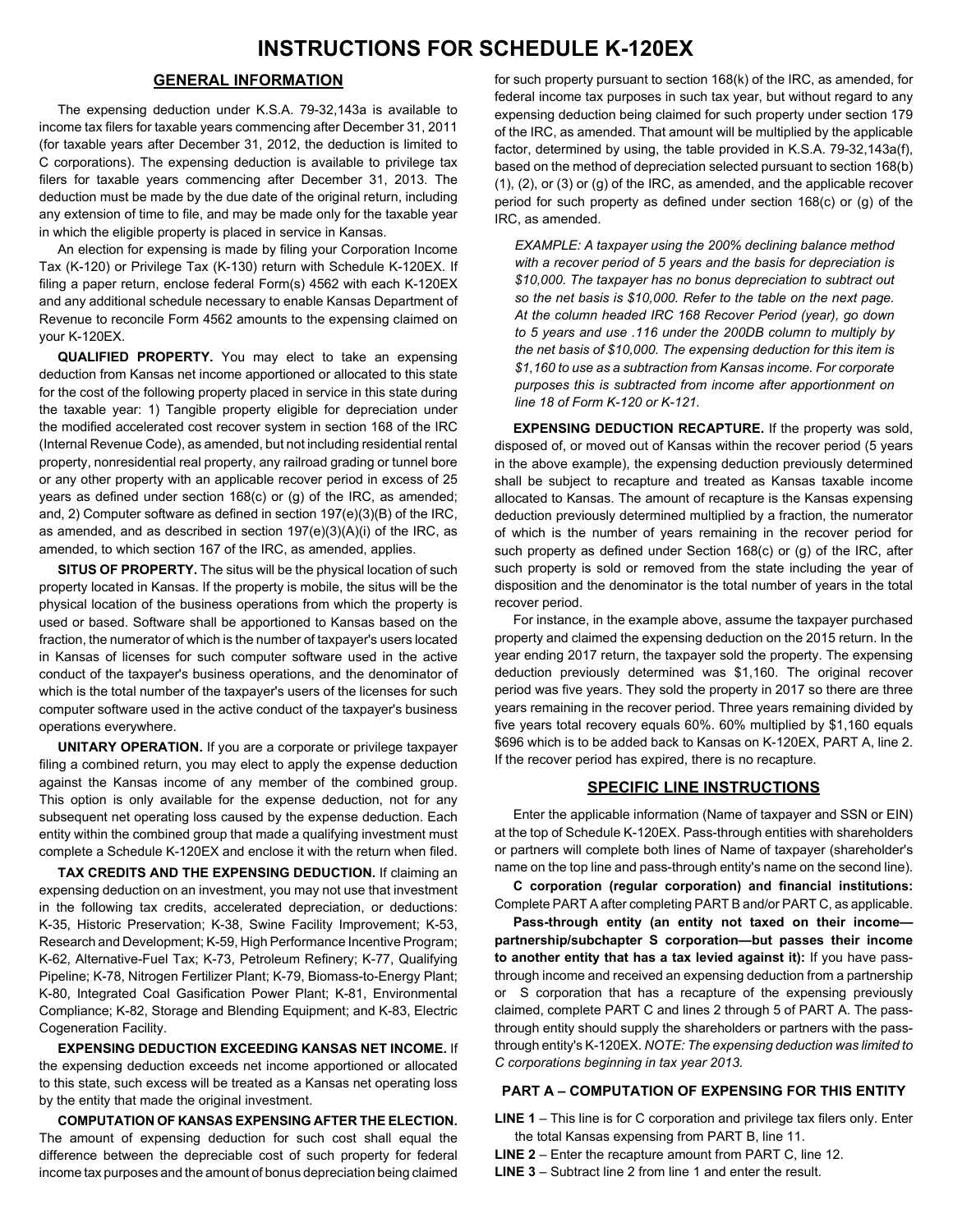### **GENERAL INFORMATION**

The expensing deduction under K.S.A. 79-32,143a is available to income tax filers for taxable years commencing after December 31, 2011 (for taxable years after December 31, 2012, the deduction is limited to C corporations). The expensing deduction is available to privilege tax filers for taxable years commencing after December 31, 2013. The deduction must be made by the due date of the original return, including any extension of time to file, and may be made only for the taxable year in which the eligible property is placed in service in Kansas.

An election for expensing is made by filing your Corporation Income Tax (K-120) or Privilege Tax (K-130) return with Schedule K-120EX. If filing a paper return, enclose federal Form(s) 4562 with each K-120EX and any additional schedule necessary to enable Kansas Department of Revenue to reconcile Form 4562 amounts to the expensing claimed on your K-120EX.

**QUALIFIED PROPERTY.** You may elect to take an expensing deduction from Kansas net income apportioned or allocated to this state for the cost of the following property placed in service in this state during the taxable year: 1) Tangible property eligible for depreciation under the modified accelerated cost recover system in section 168 of the IRC (Internal Revenue Code), as amended, but not including residential rental property, nonresidential real property, any railroad grading or tunnel bore or any other property with an applicable recover period in excess of 25 years as defined under section 168(c) or (g) of the IRC, as amended; and, 2) Computer software as defined in section 197(e)(3)(B) of the IRC, as amended, and as described in section 197(e)(3)(A)(i) of the IRC, as amended, to which section 167 of the IRC, as amended, applies.

**SITUS OF PROPERTY.** The situs will be the physical location of such property located in Kansas. If the property is mobile, the situs will be the physical location of the business operations from which the property is used or based. Software shall be apportioned to Kansas based on the fraction, the numerator of which is the number of taxpayer's users located in Kansas of licenses for such computer software used in the active conduct of the taxpayer's business operations, and the denominator of which is the total number of the taxpayer's users of the licenses for such computer software used in the active conduct of the taxpayer's business operations everywhere.

**UNITARY OPERATION.** If you are a corporate or privilege taxpayer filing a combined return, you may elect to apply the expense deduction against the Kansas income of any member of the combined group. This option is only available for the expense deduction, not for any subsequent net operating loss caused by the expense deduction. Each entity within the combined group that made a qualifying investment must complete a Schedule K-120EX and enclose it with the return when filed.

**TAX CREDITS AND THE EXPENSING DEDUCTION.** If claiming an expensing deduction on an investment, you may not use that investment in the following tax credits, accelerated depreciation, or deductions: K-35, Historic Preservation; K-38, Swine Facility Improvement; K-53, Research and Development; K-59, High Performance Incentive Program; K-62, Alternative-Fuel Tax; K-73, Petroleum Refinery; K-77, Qualifying Pipeline; K-78, Nitrogen Fertilizer Plant; K-79, Biomass-to-Energy Plant; K-80, Integrated Coal Gasification Power Plant; K-81, Environmental Compliance; K-82, Storage and Blending Equipment; and K-83, Electric Cogeneration Facility.

**EXPENSING DEDUCTION EXCEEDING KANSAS NET INCOME.** If the expensing deduction exceeds net income apportioned or allocated to this state, such excess will be treated as a Kansas net operating loss by the entity that made the original investment.

**COMPUTATION OF KANSAS EXPENSING AFTER THE ELECTION.** The amount of expensing deduction for such cost shall equal the difference between the depreciable cost of such property for federal income tax purposes and the amount of bonus depreciation being claimed

for such property pursuant to section 168(k) of the IRC, as amended, for federal income tax purposes in such tax year, but without regard to any expensing deduction being claimed for such property under section 179 of the IRC, as amended. That amount will be multiplied by the applicable factor, determined by using, the table provided in K.S.A. 79-32,143a(f), based on the method of depreciation selected pursuant to section 168(b) (1), (2), or (3) or (g) of the IRC, as amended, and the applicable recover period for such property as defined under section 168(c) or (g) of the IRC, as amended.

*EXAMPLE: A taxpayer using the 200% declining balance method with a recover period of 5 years and the basis for depreciation is \$10,000. The taxpayer has no bonus depreciation to subtract out so the net basis is \$10,000. Refer to the table on the next page. At the column headed IRC 168 Recover Period (year), go down to 5 years and use .116 under the 200DB column to multiply by the net basis of \$10,000. The expensing deduction for this item is \$1,160 to use as a subtraction from Kansas income. For corporate purposes this is subtracted from income after apportionment on line 18 of Form K-120 or K-121.*

**EXPENSING DEDUCTION RECAPTURE.** If the property was sold, disposed of, or moved out of Kansas within the recover period (5 years in the above example), the expensing deduction previously determined shall be subject to recapture and treated as Kansas taxable income allocated to Kansas. The amount of recapture is the Kansas expensing deduction previously determined multiplied by a fraction, the numerator of which is the number of years remaining in the recover period for such property as defined under Section 168(c) or (g) of the IRC, after such property is sold or removed from the state including the year of disposition and the denominator is the total number of years in the total recover period.

For instance, in the example above, assume the taxpayer purchased property and claimed the expensing deduction on the 2015 return. In the year ending 2017 return, the taxpayer sold the property. The expensing deduction previously determined was \$1,160. The original recover period was five years. They sold the property in 2017 so there are three years remaining in the recover period. Three years remaining divided by five years total recovery equals 60%. 60% multiplied by \$1,160 equals \$696 which is to be added back to Kansas on K-120EX, PART A, line 2. If the recover period has expired, there is no recapture.

#### **SPECIFIC LINE INSTRUCTIONS**

Enter the applicable information (Name of taxpayer and SSN or EIN) at the top of Schedule K-120EX. Pass-through entities with shareholders or partners will complete both lines of Name of taxpayer (shareholder's name on the top line and pass-through entity's name on the second line).

**C corporation (regular corporation) and financial institutions:** Complete PART A after completing PART B and/or PART C, as applicable.

**Pass-through entity (an entity not taxed on their income partnership/subchapter S corporation—but passes their income to another entity that has a tax levied against it):** If you have passthrough income and received an expensing deduction from a partnership or S corporation that has a recapture of the expensing previously claimed, complete PART C and lines 2 through 5 of PART A. The passthrough entity should supply the shareholders or partners with the passthrough entity's K-120EX. *NOTE: The expensing deduction was limited to C corporations beginning in tax year 2013.*

#### **PART A – COMPUTATION OF EXPENSING FOR THIS ENTITY**

**LINE 1** – This line is for C corporation and privilege tax filers only. Enter the total Kansas expensing from PART B, line 11.

- **LINE 2** Enter the recapture amount from PART C, line 12.
- **LINE 3** Subtract line 2 from line 1 and enter the result.